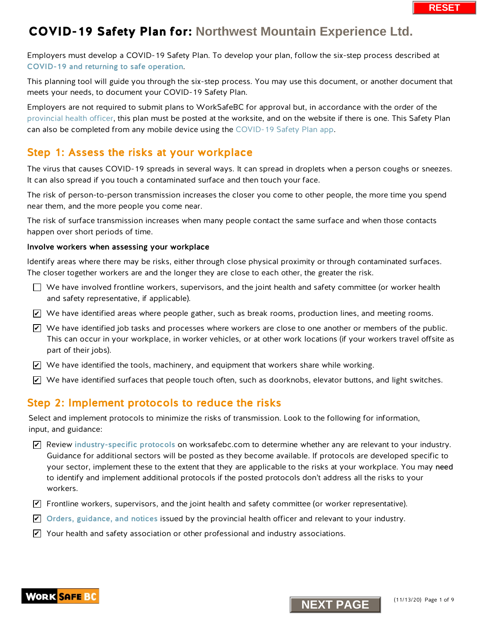Employers must develop a COVID-19 Safety Plan. To develop your plan, follow the six-step process described at [COVID-19 and returning to safe operation](https://www.worksafebc.com/en/about-us/covid-19-updates/covid-19-returning-safe-operation).

This planning tool will guide you through the six-step process. You may use this document, or another document that meets your needs, to document your COVID-19 Safety Plan.

Employers are not required to submit plans to WorkSafeBC for approval but, in accordance with the order of the [provincial health officer,](https://www2.gov.bc.ca/gov/content/health/about-bc-s-health-care-system/office-of-the-provincial-health-officer/current-health-topics/covid-19-novel-coronavirus) this plan must be posted at the worksite, and on the website if there is one. This Safety Plan can also be completed from any mobile device using th[e COVID-19 Safety Plan app.](https://www.worksafebc.com/en/resources/health-safety/interactive-tools/covid-19-safety-plan-app?lang=en&origin=s&returnurl=https%3A%2F%2Fwww.worksafebc.com%2Fen%2Fforms-resources%23sort%3D%2540fcomputeditemdatefield343%2520descending%26f%3Alanguage-facet%3D%5BEnglish%5D%26tags%3DCovid-19%7Ca96b6c96607345c481bb8621425ea03f)

## Step 1: Assess the risks at your workplace

The virus that causes COVID-19 spreads in several ways. It can spread in droplets when a person coughs or sneezes. It can also spread if you touch a contaminated surface and then touch your face.

The risk of person-to-person transmission increases the closer you come to other people, the more time you spend near them, and the more people you come near.

The risk of surface transmission increases when many people contact the same surface and when those contacts happen over short periods of time.

### Involve workers when assessing your workplace

Identify areas where there may be risks, either through close physical proximity or through contaminated surfaces. The closer together workers are and the longer they are close to each other, the greater the risk.

- $\Box$  We have involved frontline workers, supervisors, and the joint health and safety committee (or worker health and safety representative, if applicable).
- $\blacktriangledown$  We have identified areas where people gather, such as break rooms, production lines, and meeting rooms.
- $\overline{\mathscr{L}}$  We have identified job tasks and processes where workers are close to one another or members of the public. This can occur in your workplace, in worker vehicles, or at other work locations (if your workers travel offsite as part of their jobs).
- $\blacktriangleright$  We have identified the tools, machinery, and equipment that workers share while working.
- $\blacktriangleright$  We have identified surfaces that people touch often, such as doorknobs, elevator buttons, and light switches.

### Step 2: Implement protocols to reduce the risks

Select and implement protocols to minimize the risks of transmission. Look to the following for information, input, and guidance:

- $\blacktriangleright$  Review [industry-specific protocols](https://www.worksafebc.com/en/about-us/covid-19-updates/covid-19-returning-safe-operation) on worksafebc.com to determine whether any are relevant to your industry. Guidance for additional sectors will be posted as they become available. If protocols are developed specific to your sector, implement these to the extent that they are applicable to the risks at your workplace. You may need to identify and implement additional protocols if the posted protocols don't address all the risks to your workers. **N** We have identified areas where people gather, such as break rooms, production lines, and<br>
This can occur in your workplace, in worker vehicles, or at other work locations (if your "<br>
This can occur in your workplace,
- $\blacktriangledown$  Frontline workers, supervisors, and the joint health and safety committee (or worker representative).
- $\blacktriangleright$  [Orders, guidance, and notices](https://www2.gov.bc.ca/gov/content/health/about-bc-s-health-care-system/office-of-the-provincial-health-officer/current-health-topics/covid-19-novel-coronavirus) issued by the provincial health officer and relevant to your industry.
- $\blacktriangleright$  Your health and safety association or other professional and industry associations.



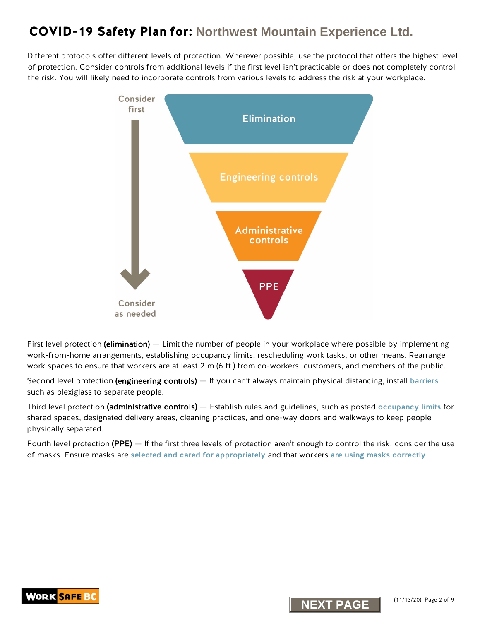Different protocols offer different levels of protection. Wherever possible, use the protocol that offers the highest level of protection. Consider controls from additional levels if the first level isn't practicable or does not completely control the risk. You will likely need to incorporate controls from various levels to address the risk at your workplace.



First level protection (elimination) — Limit the number of people in your workplace where possible by implementing work-from-home arrangements, establishing occupancy limits, rescheduling work tasks, or other means. Rearrange work spaces to ensure that workers are at least 2 m (6 ft.) from co-workers, customers, and members of the public.

Second level protection (engineering controls) — If you can't always maintain physical distancing, install [barriers](https://www.worksafebc.com/en/resources/health-safety/information-sheets/covid-19-health-safety-designing-effective-barriers?lang=en) such as plexiglass to separate people.

Third level protection (administrative controls) — Establish rules and guidelines, such as posted [occupancy limits](https://www.worksafebc.com/en/resources/health-safety/posters/help-prevent-spread-covid-19-occupancy-limit?lang=en) for shared spaces, designated delivery areas, cleaning practices, and one-way doors and walkways to keep people physically separated.

Fourth level protection (PPE) — If the first three levels of protection aren't enough to control the risk, consider the use of masks. Ensure masks are [selected and cared for appropriately](https://www.worksafebc.com/en/resources/health-safety/information-sheets/covid-19-health-safety-selecting-using-masks?lang=en) and that workers [are using masks correctly](https://www.worksafebc.com/en/resources/health-safety/posters/help-prevent-spread-covid-19-how-to-use-mask?lang=en).



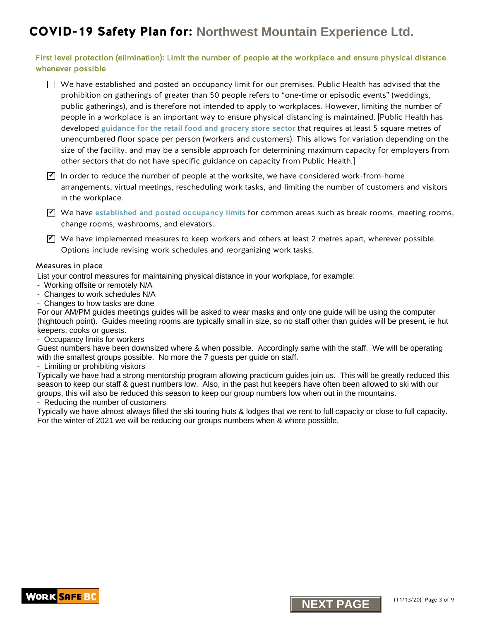### First level protection (elimination): Limit the number of people at the workplace and ensure physical distance whenever possible

 $\Box$  We have established and posted an occupancy limit for our premises. Public Health has advised that the prohibition on gatherings of greater than 50 people refers to "one-time or episodic events" (weddings, public gatherings), and is therefore not intended to apply to workplaces. However, limiting the number of people in a workplace is an important way to ensure physical distancing is maintained. [Public Health has developed gui[dance for the retail food and grocery store sector](https://www2.gov.bc.ca/assets/gov/health/about-bc-s-health-care-system/office-of-the-provincial-health-officer/covid-19/guidance_to_grocery_stores_april_25_final.pdf) that requires at least 5 square metres of unencumbered floor space per person (workers and customers). This allows for variation depending on the size of the facility, and may be a sensible approach for determining maximum capacity for employers from other sectors that do not have specific guidance on capacity from Public Health.]

 $\Psi$  In order to reduce the number of people at the worksite, we have considered work-from-home arrangements, virtual meetings, rescheduling work tasks, and limiting the number of customers and visitors in the workplace.

 $\Psi$  We have [established and posted occupancy limits](http://www.worksafebc.com/en/resources/health-safety/posters/help-prevent-spread-covid-19-occupancy-limit?lang=en) for common areas such as break rooms, meeting rooms, change rooms, washrooms, and elevators.

 $\blacktriangledown$  We have implemented measures to keep workers and others at least 2 metres apart, wherever possible. Options include revising work schedules and reorganizing work tasks.

#### Measures in place

List your control measures for maintaining physical distance in your workplace, for example:

- Working offsite or remotely N/A
- Changes to work schedules N/A
- Changes to how tasks are done

For our AM/PM guides meetings guides will be asked to wear masks and only one guide will be using the computer (hightouch point). Guides meeting rooms are typically small in size, so no staff other than guides will be present, ie hut keepers, cooks or guests.

- Occupancy limits for workers

Guest numbers have been downsized where & when possible. Accordingly same with the staff. We will be operating with the smallest groups possible. No more the 7 guests per guide on staff.

- Limiting or prohibiting visitors

Typically we have had a strong mentorship program allowing practicum guides join us. This will be greatly reduced this season to keep our staff & guest numbers low. Also, in the past hut keepers have often been allowed to ski with our groups, this will also be reduced this season to keep our group numbers low when out in the mountains.

- Reducing the number of customers

Typically we have almost always filled the ski touring huts & lodges that we rent to full capacity or close to full capacity. For the winter of 2021 we will be reducing our groups numbers when & where possible.



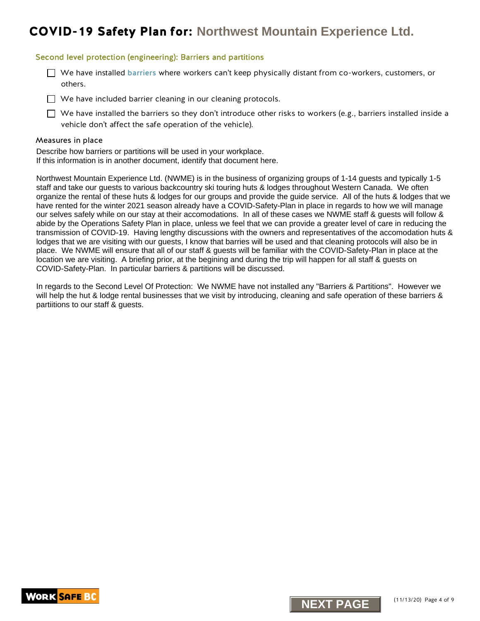### Second level protection (engineering): Barriers and partitions

 $\Box$  We have installed [barriers](https://www.worksafebc.com/en/resources/health-safety/information-sheets/covid-19-health-safety-designing-effective-barriers?lang=en) where workers can't keep physically distant from co-workers, customers, or others.

 $\Box$  We have included barrier cleaning in our cleaning protocols.

 $\Box$  We have installed the barriers so they don't introduce other risks to workers (e.g., barriers installed inside a vehicle don't affect the safe operation of the vehicle).

#### Measures in place

Describe how barriers or partitions will be used in your workplace. If this information is in another document, identify that document here.

Northwest Mountain Experience Ltd. (NWME) is in the business of organizing groups of 1-14 guests and typically 1-5 staff and take our guests to various backcountry ski touring huts & lodges throughout Western Canada. We often organize the rental of these huts & lodges for our groups and provide the guide service. All of the huts & lodges that we have rented for the winter 2021 season already have a COVID-Safety-Plan in place in regards to how we will manage our selves safely while on our stay at their accomodations. In all of these cases we NWME staff & guests will follow & abide by the Operations Safety Plan in place, unless we feel that we can provide a greater level of care in reducing the transmission of COVID-19. Having lengthy discussions with the owners and representatives of the accomodation huts & lodges that we are visiting with our guests, I know that barries will be used and that cleaning protocols will also be in place. We NWME will ensure that all of our staff & guests will be familiar with the COVID-Safety-Plan in place at the location we are visiting. A briefing prior, at the begining and during the trip will happen for all staff & guests on COVID-Safety-Plan. In particular barriers & partitions will be discussed.

In regards to the Second Level Of Protection: We NWME have not installed any "Barriers & Partitions". However we will help the hut & lodge rental businesses that we visit by introducing, cleaning and safe operation of these barriers & partiitions to our staff & guests.



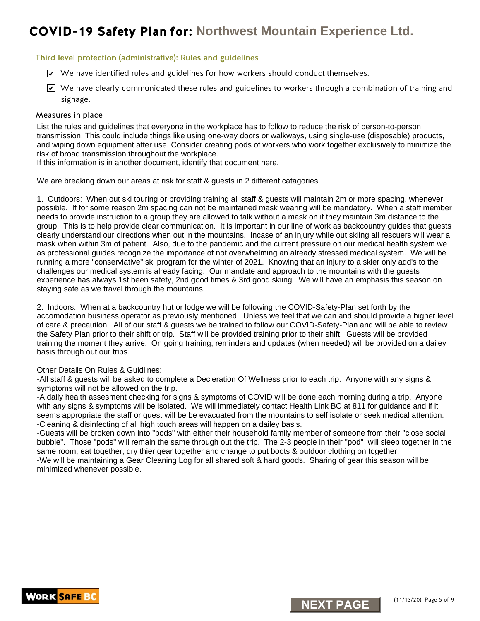### Third level protection (administrative): Rules and guidelines

- $\trianglerighteq$  We have identified rules and guidelines for how workers should conduct themselves.
- $\blacktriangleright$  We have clearly communicated these rules and guidelines to workers through a combination of training and signage.

#### Measures in place

List the rules and guidelines that everyone in the workplace has to follow to reduce the risk of person-to-person transmission. This could include things like using one-way doors or walkways, using single-use (disposable) products, and wiping down equipment after use. Consider creating pods of workers who work together exclusively to minimize the risk of broad transmission throughout the workplace.

If this information is in another document, identify that document here.

We are breaking down our areas at risk for staff & guests in 2 different catagories.

K we have identified rules and guidelines for how workers should conduct themselves.<br>We have dearly communicated these uses and guidelines to workers hould conduct themselves.<br>Signage.<br>Next determined the comparison the wo 1. Outdoors: When out ski touring or providing training all staff & guests will maintain 2m or more spacing. whenever possible. If for some reason 2m spacing can not be maintained mask wearing will be mandatory. When a staff member needs to provide instruction to a group they are allowed to talk without a mask on if they maintain 3m distance to the group. This is to help provide clear communication. It is important in our line of work as backcountry guides that guests clearly understand our directions when out in the mountains. Incase of an injury while out skiing all rescuers will wear a mask when within 3m of patient. Also, due to the pandemic and the current pressure on our medical health system we as professional guides recognize the importance of not overwhelming an already stressed medical system. We will be running a more "conserviative" ski program for the winter of 2021. Knowing that an injury to a skier only add's to the challenges our medical system is already facing. Our mandate and approach to the mountains with the guests experience has always 1st been safety, 2nd good times & 3rd good skiing. We will have an emphasis this season on staying safe as we travel through the mountains.

2. Indoors: When at a backcountry hut or lodge we will be following the COVID-Safety-Plan set forth by the accomodation business operator as previously mentioned. Unless we feel that we can and should provide a higher level of care & precaution. All of our staff & guests we be trained to follow our COVID-Safety-Plan and will be able to review the Safety Plan prior to their shift or trip. Staff will be provided training prior to their shift. Guests will be provided training the moment they arrive. On going training, reminders and updates (when needed) will be provided on a dailey basis through out our trips.

#### Other Details On Rules & Guidlines:

-All staff & guests will be asked to complete a Decleration Of Wellness prior to each trip. Anyone with any signs & symptoms will not be allowed on the trip.

-A daily health assesment checking for signs & symptoms of COVID will be done each morning during a trip. Anyone with any signs & symptoms will be isolated. We will immediately contact Health Link BC at 811 for guidance and if it seems appropriate the staff or guest will be be evacuated from the mountains to self isolate or seek medical attention. -Cleaning & disinfecting of all high touch areas will happen on a dailey basis.

-Guests will be broken down into "pods" with either their household family member of someone from their "close social bubble". Those "pods" will remain the same through out the trip. The 2-3 people in their "pod" will sleep together in the same room, eat together, dry thier gear together and change to put boots & outdoor clothing on together. -We will be maintaining a Gear Cleaning Log for all shared soft & hard goods. Sharing of gear this season will be minimized whenever possible.



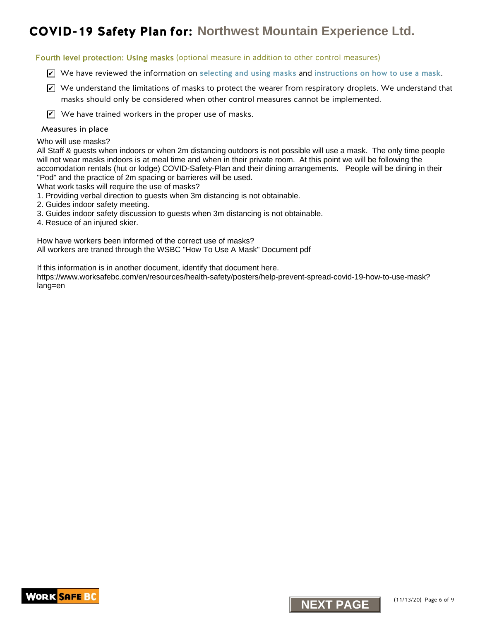Fourth level protection: Using masks (optional measure in addition to other control measures)

- $\triangledown$  We have reviewed the information on [selecting and using masks](https://www.worksafebc.com/en/resources/health-safety/information-sheets/covid-19-health-safety-selecting-using-masks?lang=en) and [instructions on how to use a mask](https://www.worksafebc.com/en/resources/health-safety/posters/help-prevent-spread-covid-19-how-to-use-mask?lang=en).
- $\blacktriangleright$  We understand the limitations of masks to protect the wearer from respiratory droplets. We understand that masks should only be considered when other control measures cannot be implemented.
- $\mathbf{V}$  We have trained workers in the proper use of masks.

#### Measures in place

Who will use masks?

**NID-19 Safety Plan for:** Northwest Mountain Experience Ltd.<br>
Inthised protection Using masks (optional measure in addition to other control measures)<br>
and We have reviewed the information on selecting and using masks and All Staff & guests when indoors or when 2m distancing outdoors is not possible will use a mask. The only time people will not wear masks indoors is at meal time and when in their private room. At this point we will be following the accomodation rentals (hut or lodge) COVID-Safety-Plan and their dining arrangements. People will be dining in their "Pod" and the practice of 2m spacing or barrieres will be used.

What work tasks will require the use of masks?

- 1. Providing verbal direction to guests when 3m distancing is not obtainable.
- 2. Guides indoor safety meeting.
- 3. Guides indoor safety discussion to guests when 3m distancing is not obtainable.
- 4. Resuce of an injured skier.

How have workers been informed of the correct use of masks? All workers are traned through the WSBC "How To Use A Mask" Document pdf

If this information is in another document, identify that document here.

https://www.worksafebc.com/en/resources/health-safety/posters/help-prevent-spread-covid-19-how-to-use-mask? lang=en



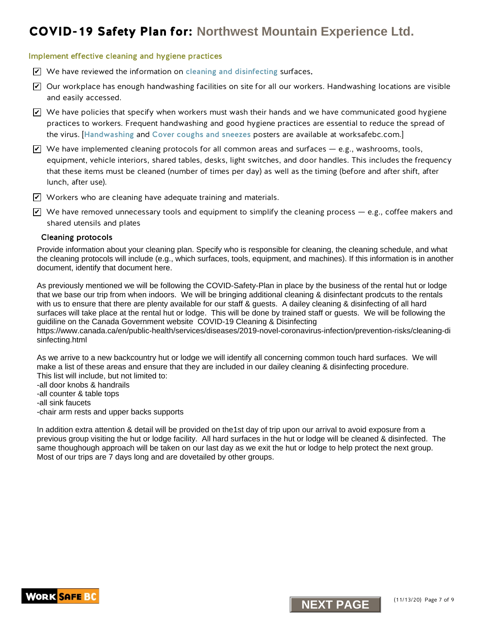### Implement effective cleaning and hygiene practices

- $\triangledown$  We have reviewed the information on [cleaning and disinfecting](https://www.worksafebc.com/en/resources/health-safety/information-sheets/covid-19-health-safety-cleaning-disinfecting?lang=en) surfaces.
- $\blacktriangleright$  Our workplace has enough handwashing facilities on site for all our workers. Handwashing locations are visible and easily accessed.
- $\blacktriangleright$  We have policies that specify when workers must wash their hands and we have communicated good hygiene practices to workers. Frequent handwashing and good hygiene practices are essential to reduce the spread of the virus. [[Handwashing](https://www.worksafebc.com/en/resources/health-safety/posters/help-prevent-spread-covid-19-handwashing?lang=en) and [Cover coughs and sneezes](https://www.worksafebc.com/en/resources/health-safety/posters/help-prevent-spread-covid-19-cover-coughs-sneezes?lang=en) posters are available at worksafebc.com.]
- $\blacktriangleright$  We have implemented cleaning protocols for all common areas and surfaces e.g., washrooms, tools, equipment, vehicle interiors, shared tables, desks, light switches, and door handles. This includes the frequency that these items must be cleaned (number of times per day) as well as the timing (before and after shift, after lunch, after use).
- $\blacktriangledown$  Workers who are cleaning have adequate training and materials.
- $\blacktriangledown$  We have removed unnecessary tools and equipment to simplify the cleaning process e.g., coffee makers and shared utensils and plates

#### Cleaning protocols

Provide information about your cleaning plan. Specify who is responsible for cleaning, the cleaning schedule, and what the cleaning protocols will include (e.g., which surfaces, tools, equipment, and machines). If this information is in another document, identify that document here.

COVID-19 Safety Plan for: Northwest Mountain Experience Ltd.<br>
We have reviewed the information on cleaning and disinfecting surface.<br>
Play have reviewed the information on cleaning and disinfecting surface.<br>
Play wave revi As previously mentioned we will be following the COVID-Safety-Plan in place by the business of the rental hut or lodge that we base our trip from when indoors. We will be bringing additional cleaning & disinfectant prodcuts to the rentals with us to ensure that there are plenty available for our staff & quests. A dailey cleaning & disinfecting of all hard surfaces will take place at the rental hut or lodge. This will be done by trained staff or guests. We will be following the guidiline on the Canada Government website COVID-19 Cleaning & Disinfecting

https://www.canada.ca/en/public-health/services/diseases/2019-novel-coronavirus-infection/prevention-risks/cleaning-di sinfecting.html

As we arrive to a new backcountry hut or lodge we will identify all concerning common touch hard surfaces. We will make a list of these areas and ensure that they are included in our dailey cleaning & disinfecting procedure. This list will include, but not limited to:

-all door knobs & handrails

- -all counter & table tops
- -all sink faucets
- -chair arm rests and upper backs supports

In addition extra attention & detail will be provided on the1st day of trip upon our arrival to avoid exposure from a previous group visiting the hut or lodge facility. All hard surfaces in the hut or lodge will be cleaned & disinfected. The same thoughough approach will be taken on our last day as we exit the hut or lodge to help protect the next group. Most of our trips are 7 days long and are dovetailed by other groups.

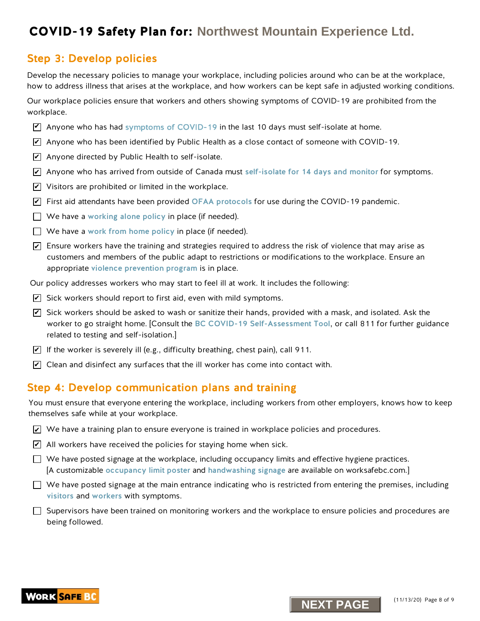## Step 3: Develop policies

Develop the necessary policies to manage your workplace, including policies around who can be at the workplace, how to address illness that arises at the workplace, and how workers can be kept safe in adjusted working conditions.

Our workplace policies ensure that workers and others showing symptoms of COVID-19 are prohibited from the workplace.

- $\triangledown$  Anyone who has ha[d symptoms of COVID-19](https://www.worksafebc.com/en/resources/health-safety/posters/help-prevent-spread-covid-19-entry-check-visitors?lang=en) in the last 10 days must self-isolate at home.
- $\overline{\mathscr{L}}$  Anyone who has been identified by Public Health as a close contact of someone with COVID-19.
- $\blacktriangleright$  Anyone directed by Public Health to self-isolate.
- $\overline{\mathscr{L}}$  Anyone who has arrived from outside of Canada must [self-isolate for 14 days and monitor](http://www.bccdc.ca/health-info/diseases-conditions/covid-19/self-isolation) for symptoms.
- $\blacktriangleright$  Visitors are prohibited or limited in the workplace.
- $\overline{\mathscr{L}}$  First aid attendants have been provided [OFAA protocols](https://www.worksafebc.com/en/resources/health-safety/information-sheets/ofaa-protocols-covid-19-pandemic?lang=en) for use during the COVID-19 pandemic.
- $\Box$  We have a [working alone policy](https://www.worksafebc.com/en/health-safety/hazards-exposures/working-alone) in place (if needed).
- $\Box$  We have a work from home policy in place (if needed).
- $\blacktriangleright$  Ensure workers have the training and strategies required to address the risk of violence that may arise as customers and members of the public adapt to restrictions or modifications to the workplace. Ensure an appropriate [violence prevention progra](https://www.worksafebc.com/en/health-safety/hazards-exposures/violence)m is in place.
- Our policy addresses workers who may start to feel ill at work. It includes the following:
- $\blacktriangleright$  Sick workers should report to first aid, even with mild symptoms.
- $\overline{\mathscr{L}}$  Sick workers should be asked to wash or sanitize their hands, provided with a mask, and isolated. Ask the worker to go straight home. [Consult the [BC COVID-19 Self-Assessment Tool](https://bc.thrive.health/), or call 811 for further guidance related to testing and self-isolation.] **NOVID-19 Safety Plan for:** Northwest Mountdain Experience Ltd.<br>The Packeton policies and weakeness were assumed to the set of the set of the set of the set of the set of the set of the set of the set of the set of the set
- $\blacktriangleright$  If the worker is severely ill (e.g., difficulty breathing, chest pain), call 911.
- $\blacktriangleright$  Clean and disinfect any surfaces that the ill worker has come into contact with.

## Step 4: Develop communication plans and training

You must ensure that everyone entering the workplace, including workers from other employers, knows how to keep themselves safe while at your workplace.

- $\blacktriangleright$  We have a training plan to ensure everyone is trained in workplace policies and procedures.
- $\angle$  All workers have received the policies for staying home when sick.
- $\Box$  We have posted signage at the workplace, including occupancy limits and effective hygiene practices. [A customizable [occupancy limit poster](https://www.worksafebc.com/en/resources/health-safety/posters/help-prevent-spread-covid-19-occupancy-limit?lang=en) and [handwashing signage](https://www.worksafebc.com/en/resources/health-safety/posters/help-prevent-spread-covid-19-handwashing?lang=en) are available on worksafebc.com.]
- $\Box$  We have posted signage at the main entrance indicating who is restricted from entering the premises, including [visitors](https://www.worksafebc.com/en/resources/health-safety/posters/help-prevent-spread-covid-19-entry-check-visitors?lang=en) and [workers](https://www.worksafebc.com/en/resources/health-safety/posters/help-prevent-spread-covid-19-entry-check-workers?lang=en) with symptoms.

 $\Box$  Supervisors have been trained on monitoring workers and the workplace to ensure policies and procedures are being followed.